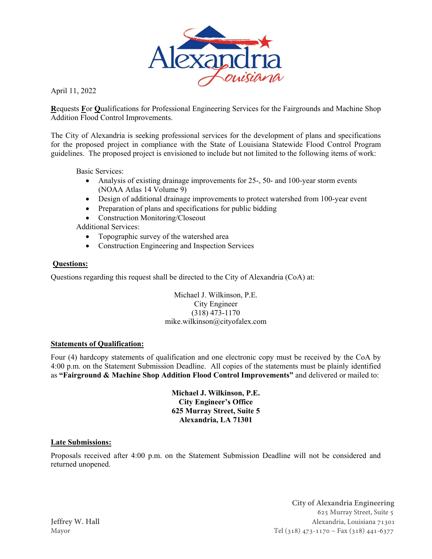

April 11, 2022

**R**equests **F**or **Q**ualifications for Professional Engineering Services for the Fairgrounds and Machine Shop Addition Flood Control Improvements.

The City of Alexandria is seeking professional services for the development of plans and specifications for the proposed project in compliance with the State of Louisiana Statewide Flood Control Program guidelines. The proposed project is envisioned to include but not limited to the following items of work:

Basic Services:

- Analysis of existing drainage improvements for 25-, 50- and 100-year storm events (NOAA Atlas 14 Volume 9)
- Design of additional drainage improvements to protect watershed from 100-year event
- Preparation of plans and specifications for public bidding
- Construction Monitoring/Closeout

Additional Services:

- Topographic survey of the watershed area
- Construction Engineering and Inspection Services

#### **Questions:**

Questions regarding this request shall be directed to the City of Alexandria (CoA) at:

Michael J. Wilkinson, P.E. City Engineer (318) 473-1170 mike.wilkinson@cityofalex.com

#### **Statements of Qualification:**

Four (4) hardcopy statements of qualification and one electronic copy must be received by the CoA by 4:00 p.m. on the Statement Submission Deadline. All copies of the statements must be plainly identified as **"Fairground & Machine Shop Addition Flood Control Improvements"** and delivered or mailed to:

> **Michael J. Wilkinson, P.E. City Engineer's Office 625 Murray Street, Suite 5 Alexandria, LA 71301**

#### **Late Submissions:**

Proposals received after 4:00 p.m. on the Statement Submission Deadline will not be considered and returned unopened.

**City of Alexandria Engineering**  625 Murray Street, Suite 5 **Jeffrey W. Hall** Alexandria, Louisiana 71301 Mayor Tel (318) 473-1170 ~ Fax (318) 441-6377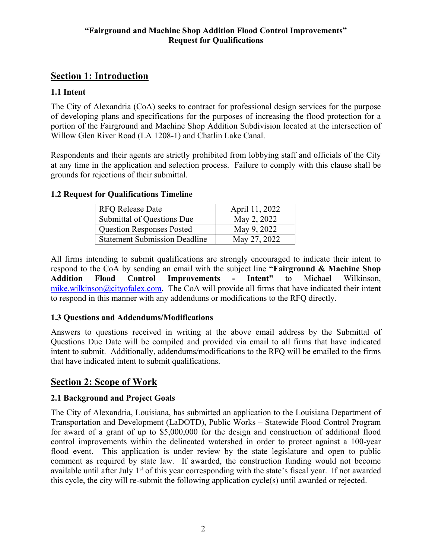# **Section 1: Introduction**

## **1.1 Intent**

The City of Alexandria (CoA) seeks to contract for professional design services for the purpose of developing plans and specifications for the purposes of increasing the flood protection for a portion of the Fairground and Machine Shop Addition Subdivision located at the intersection of Willow Glen River Road (LA 1208-1) and Chatlin Lake Canal.

Respondents and their agents are strictly prohibited from lobbying staff and officials of the City at any time in the application and selection process. Failure to comply with this clause shall be grounds for rejections of their submittal.

### **1.2 Request for Qualifications Timeline**

| <b>RFO Release Date</b>              | April 11, 2022 |
|--------------------------------------|----------------|
| Submittal of Questions Due           | May 2, 2022    |
| Question Responses Posted            | May 9, 2022    |
| <b>Statement Submission Deadline</b> | May 27, 2022   |

All firms intending to submit qualifications are strongly encouraged to indicate their intent to respond to the CoA by sending an email with the subject line **"Fairground & Machine Shop Addition Flood Control Improvements - Intent"** to Michael Wilkinson, mike.wilkinson@cityofalex.com. The CoA will provide all firms that have indicated their intent to respond in this manner with any addendums or modifications to the RFQ directly.

### **1.3 Questions and Addendums/Modifications**

Answers to questions received in writing at the above email address by the Submittal of Questions Due Date will be compiled and provided via email to all firms that have indicated intent to submit. Additionally, addendums/modifications to the RFQ will be emailed to the firms that have indicated intent to submit qualifications.

# **Section 2: Scope of Work**

## **2.1 Background and Project Goals**

The City of Alexandria, Louisiana, has submitted an application to the Louisiana Department of Transportation and Development (LaDOTD), Public Works – Statewide Flood Control Program for award of a grant of up to \$5,000,000 for the design and construction of additional flood control improvements within the delineated watershed in order to protect against a 100-year flood event. This application is under review by the state legislature and open to public comment as required by state law. If awarded, the construction funding would not become available until after July 1<sup>st</sup> of this year corresponding with the state's fiscal year. If not awarded this cycle, the city will re-submit the following application cycle(s) until awarded or rejected.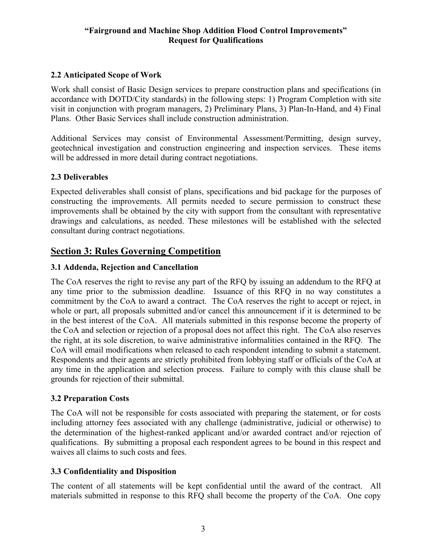### **2.2 Anticipated Scope of Work**

Work shall consist of Basic Design services to prepare construction plans and specifications (in accordance with DOTD/City standards) in the following steps: 1) Program Completion with site visit in conjunction with program managers, 2) Preliminary Plans, 3) Plan-In-Hand, and 4) Final Plans. Other Basic Services shall include construction administration.

Additional Services may consist of Environmental Assessment/Permitting, design survey, geotechnical investigation and construction engineering and inspection services. These items will be addressed in more detail during contract negotiations.

### **2.3 Deliverables**

Expected deliverables shall consist of plans, specifications and bid package for the purposes of constructing the improvements. All permits needed to secure permission to construct these improvements shall be obtained by the city with support from the consultant with representative drawings and calculations, as needed. These milestones will be established with the selected consultant during contract negotiations.

## **Section 3: Rules Governing Competition**

### **3.1 Addenda, Rejection and Cancellation**

The CoA reserves the right to revise any part of the RFQ by issuing an addendum to the RFQ at any time prior to the submission deadline. Issuance of this RFQ in no way constitutes a commitment by the CoA to award a contract. The CoA reserves the right to accept or reject, in whole or part, all proposals submitted and/or cancel this announcement if it is determined to be in the best interest of the CoA. All materials submitted in this response become the property of the CoA and selection or rejection of a proposal does not affect this right. The CoA also reserves the right, at its sole discretion, to waive administrative informalities contained in the RFQ. The CoA will email modifications when released to each respondent intending to submit a statement. Respondents and their agents are strictly prohibited from lobbying staff or officials of the CoA at any time in the application and selection process. Failure to comply with this clause shall be grounds for rejection of their submittal.

### **3.2 Preparation Costs**

The CoA will not be responsible for costs associated with preparing the statement, or for costs including attorney fees associated with any challenge (administrative, judicial or otherwise) to the determination of the highest-ranked applicant and/or awarded contract and/or rejection of qualifications. By submitting a proposal each respondent agrees to be bound in this respect and waives all claims to such costs and fees.

### **3.3 Confidentiality and Disposition**

The content of all statements will be kept confidential until the award of the contract. All materials submitted in response to this RFQ shall become the property of the CoA. One copy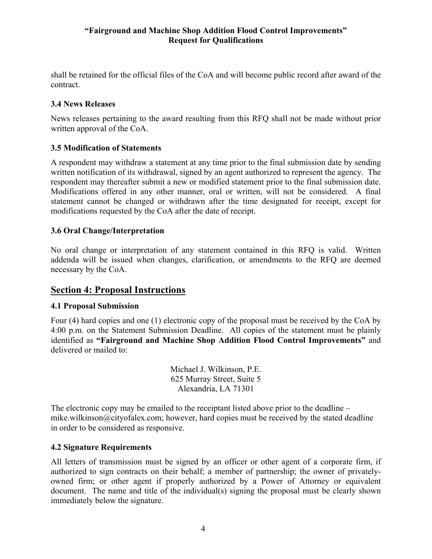shall be retained for the official files of the CoA and will become public record after award of the contract.

### **3.4 News Releases**

News releases pertaining to the award resulting from this RFQ shall not be made without prior written approval of the CoA.

### **3.5 Modification of Statements**

A respondent may withdraw a statement at any time prior to the final submission date by sending written notification of its withdrawal, signed by an agent authorized to represent the agency. The respondent may thereafter submit a new or modified statement prior to the final submission date. Modifications offered in any other manner, oral or written, will not be considered. A final statement cannot be changed or withdrawn after the time designated for receipt, except for modifications requested by the CoA after the date of receipt.

### **3.6 Oral Change/Interpretation**

No oral change or interpretation of any statement contained in this RFQ is valid. Written addenda will be issued when changes, clarification, or amendments to the RFQ are deemed necessary by the CoA.

## **Section 4: Proposal Instructions**

### **4.1 Proposal Submission**

Four (4) hard copies and one (1) electronic copy of the proposal must be received by the CoA by 4:00 p.m. on the Statement Submission Deadline. All copies of the statement must be plainly identified as **"Fairground and Machine Shop Addition Flood Control Improvements"** and delivered or mailed to:

> Michael J. Wilkinson, P.E. 625 Murray Street, Suite 5 Alexandria, LA 71301

The electronic copy may be emailed to the receiptant listed above prior to the deadline – mike.wilkinson@cityofalex.com; however, hard copies must be received by the stated deadline in order to be considered as responsive.

### **4.2 Signature Requirements**

All letters of transmission must be signed by an officer or other agent of a corporate firm, if authorized to sign contracts on their behalf; a member of partnership; the owner of privatelyowned firm; or other agent if properly authorized by a Power of Attorney or equivalent document. The name and title of the individual(s) signing the proposal must be clearly shown immediately below the signature.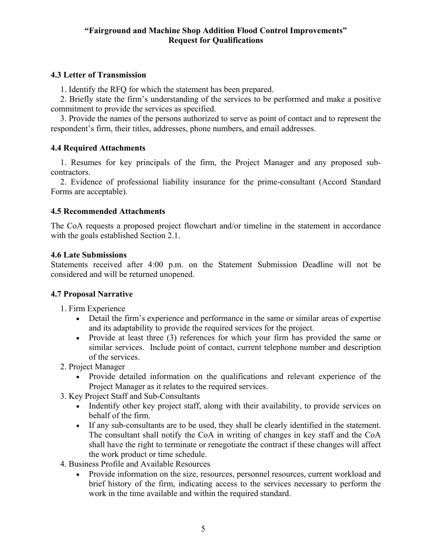### **4.3 Letter of Transmission**

1. Identify the RFQ for which the statement has been prepared.

2. Briefly state the firm's understanding of the services to be performed and make a positive commitment to provide the services as specified.

3. Provide the names of the persons authorized to serve as point of contact and to represent the respondent's firm, their titles, addresses, phone numbers, and email addresses.

### **4.4 Required Attachments**

1. Resumes for key principals of the firm, the Project Manager and any proposed subcontractors.

2. Evidence of professional liability insurance for the prime-consultant (Accord Standard Forms are acceptable).

#### **4.5 Recommended Attachments**

The CoA requests a proposed project flowchart and/or timeline in the statement in accordance with the goals established Section 2.1.

#### **4.6 Late Submissions**

Statements received after 4:00 p.m. on the Statement Submission Deadline will not be considered and will be returned unopened.

### **4.7 Proposal Narrative**

- 1. Firm Experience
	- Detail the firm's experience and performance in the same or similar areas of expertise and its adaptability to provide the required services for the project.
	- Provide at least three (3) references for which your firm has provided the same or similar services. Include point of contact, current telephone number and description of the services.
- 2. Project Manager
	- Provide detailed information on the qualifications and relevant experience of the Project Manager as it relates to the required services.
- 3. Key Project Staff and Sub-Consultants
	- Indentify other key project staff, along with their availability, to provide services on behalf of the firm.
	- If any sub-consultants are to be used, they shall be clearly identified in the statement. The consultant shall notify the CoA in writing of changes in key staff and the CoA shall have the right to terminate or renegotiate the contract if these changes will affect the work product or time schedule.
- 4. Business Profile and Available Resources
	- Provide information on the size, resources, personnel resources, current workload and brief history of the firm, indicating access to the services necessary to perform the work in the time available and within the required standard.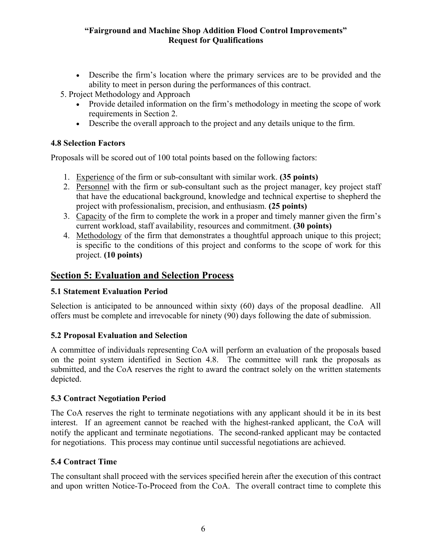- Describe the firm's location where the primary services are to be provided and the ability to meet in person during the performances of this contract.
- 5. Project Methodology and Approach
	- Provide detailed information on the firm's methodology in meeting the scope of work requirements in Section 2.
	- Describe the overall approach to the project and any details unique to the firm.

### **4.8 Selection Factors**

Proposals will be scored out of 100 total points based on the following factors:

- 1. Experience of the firm or sub-consultant with similar work. **(35 points)**
- 2. Personnel with the firm or sub-consultant such as the project manager, key project staff that have the educational background, knowledge and technical expertise to shepherd the project with professionalism, precision, and enthusiasm. **(25 points)**
- 3. Capacity of the firm to complete the work in a proper and timely manner given the firm's current workload, staff availability, resources and commitment. **(30 points)**
- 4. Methodology of the firm that demonstrates a thoughtful approach unique to this project; is specific to the conditions of this project and conforms to the scope of work for this project. **(10 points)**

# **Section 5: Evaluation and Selection Process**

## **5.1 Statement Evaluation Period**

Selection is anticipated to be announced within sixty (60) days of the proposal deadline. All offers must be complete and irrevocable for ninety (90) days following the date of submission.

## **5.2 Proposal Evaluation and Selection**

A committee of individuals representing CoA will perform an evaluation of the proposals based on the point system identified in Section 4.8. The committee will rank the proposals as submitted, and the CoA reserves the right to award the contract solely on the written statements depicted.

### **5.3 Contract Negotiation Period**

The CoA reserves the right to terminate negotiations with any applicant should it be in its best interest. If an agreement cannot be reached with the highest-ranked applicant, the CoA will notify the applicant and terminate negotiations. The second-ranked applicant may be contacted for negotiations. This process may continue until successful negotiations are achieved.

## **5.4 Contract Time**

The consultant shall proceed with the services specified herein after the execution of this contract and upon written Notice-To-Proceed from the CoA. The overall contract time to complete this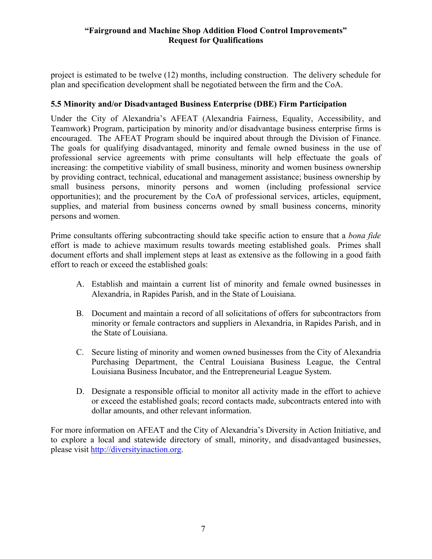project is estimated to be twelve (12) months, including construction. The delivery schedule for plan and specification development shall be negotiated between the firm and the CoA.

### **5.5 Minority and/or Disadvantaged Business Enterprise (DBE) Firm Participation**

Under the City of Alexandria's AFEAT (Alexandria Fairness, Equality, Accessibility, and Teamwork) Program, participation by minority and/or disadvantage business enterprise firms is encouraged. The AFEAT Program should be inquired about through the Division of Finance. The goals for qualifying disadvantaged, minority and female owned business in the use of professional service agreements with prime consultants will help effectuate the goals of increasing: the competitive viability of small business, minority and women business ownership by providing contract, technical, educational and management assistance; business ownership by small business persons, minority persons and women (including professional service opportunities); and the procurement by the CoA of professional services, articles, equipment, supplies, and material from business concerns owned by small business concerns, minority persons and women.

Prime consultants offering subcontracting should take specific action to ensure that a *bona fide* effort is made to achieve maximum results towards meeting established goals. Primes shall document efforts and shall implement steps at least as extensive as the following in a good faith effort to reach or exceed the established goals:

- A. Establish and maintain a current list of minority and female owned businesses in Alexandria, in Rapides Parish, and in the State of Louisiana.
- B. Document and maintain a record of all solicitations of offers for subcontractors from minority or female contractors and suppliers in Alexandria, in Rapides Parish, and in the State of Louisiana.
- C. Secure listing of minority and women owned businesses from the City of Alexandria Purchasing Department, the Central Louisiana Business League, the Central Louisiana Business Incubator, and the Entrepreneurial League System.
- D. Designate a responsible official to monitor all activity made in the effort to achieve or exceed the established goals; record contacts made, subcontracts entered into with dollar amounts, and other relevant information.

For more information on AFEAT and the City of Alexandria's Diversity in Action Initiative, and to explore a local and statewide directory of small, minority, and disadvantaged businesses, please visit http://diversityinaction.org.